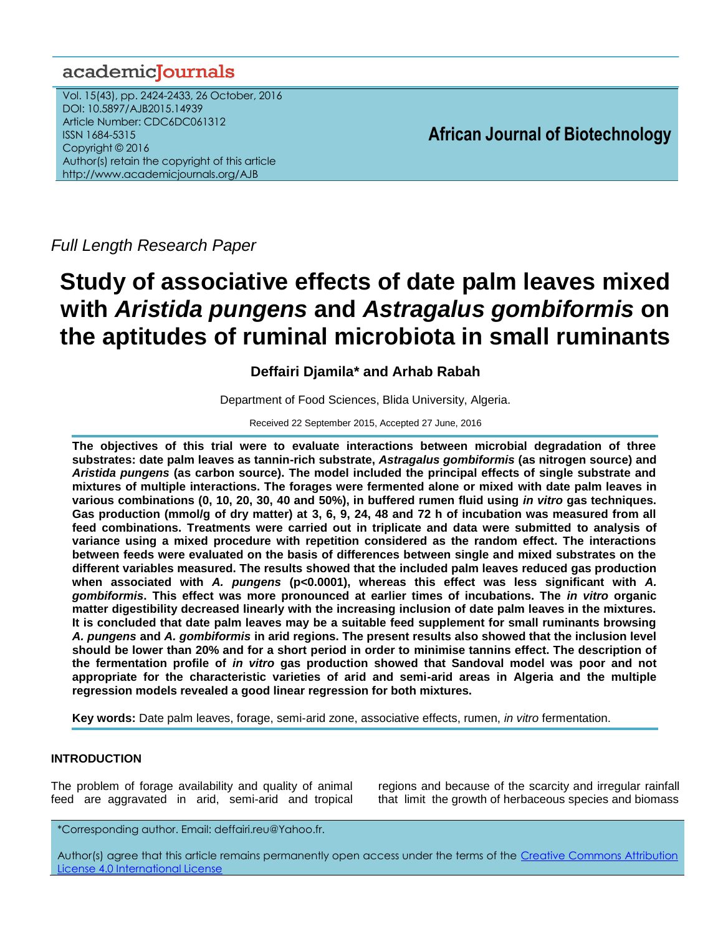## academiclournals

Vol. 15(43), pp. 2424-2433, 26 October, 2016 DOI: 10.5897/AJB2015.14939 Article Number: CDC6DC061312 ISSN 1684-5315 Copyright © 2016 Author(s) retain the copyright of this article http://www.academicjournals.org/AJB

**African Journal of Biotechnology**

*Full Length Research Paper*

# **Study of associative effects of date palm leaves mixed with** *Aristida pungens* **and** *Astragalus gombiformis* **on the aptitudes of ruminal microbiota in small ruminants**

## **Deffairi Djamila\* and Arhab Rabah**

Department of Food Sciences, Blida University, Algeria.

Received 22 September 2015, Accepted 27 June, 2016

**The objectives of this trial were to evaluate interactions between microbial degradation of three substrates: date palm leaves as tannin-rich substrate,** *Astragalus gombiformis* **(as nitrogen source) and**  *Aristida pungens* **(as carbon source). The model included the principal effects of single substrate and mixtures of multiple interactions. The forages were fermented alone or mixed with date palm leaves in various combinations (0, 10, 20, 30, 40 and 50%), in buffered rumen fluid using** *in vitro* **gas techniques. Gas production (mmol/g of dry matter) at 3, 6, 9, 24, 48 and 72 h of incubation was measured from all feed combinations. Treatments were carried out in triplicate and data were submitted to analysis of variance using a mixed procedure with repetition considered as the random effect. The interactions between feeds were evaluated on the basis of differences between single and mixed substrates on the different variables measured. The results showed that the included palm leaves reduced gas production when associated with** *A. pungens* **(p<0.0001), whereas this effect was less significant with** *A. gombiformis***. This effect was more pronounced at earlier times of incubations. The** *in vitro* **organic matter digestibility decreased linearly with the increasing inclusion of date palm leaves in the mixtures. It is concluded that date palm leaves may be a suitable feed supplement for small ruminants browsing**  *A. pungens* **and** *A. gombiformis* **in arid regions. The present results also showed that the inclusion level should be lower than 20% and for a short period in order to minimise tannins effect. The description of the fermentation profile of** *in vitro* **gas production showed that Sandoval model was poor and not appropriate for the characteristic varieties of arid and semi-arid areas in Algeria and the multiple regression models revealed a good linear regression for both mixtures.**

**Key words:** Date palm leaves, forage, semi-arid zone, associative effects, rumen, *in vitro* fermentation.

### **INTRODUCTION**

The problem of forage availability and quality of animal feed are aggravated in arid, semi-arid and tropical regions and because of the scarcity and irregular rainfall that limit the growth of herbaceous species and biomass

\*Corresponding author. Email: deffairi.reu@Yahoo.fr.

Author(s) agree that this article remains permanently open access under the terms of the Creative Commons Attribution [License 4.0 International License](http://creativecommons.org/licenses/by/4.0/deed.en_US)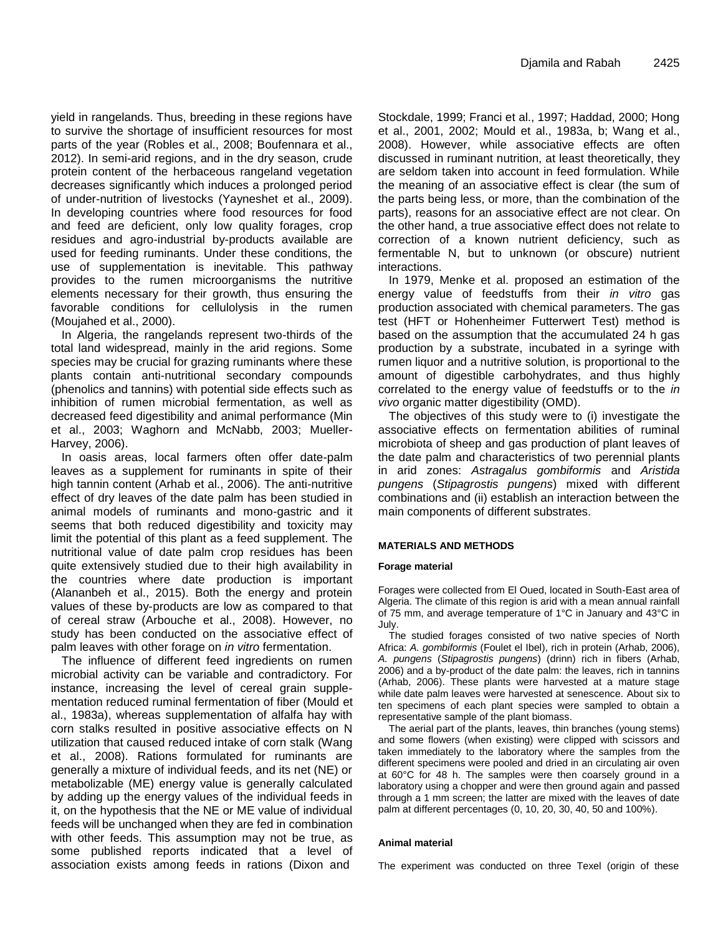yield in rangelands. Thus, breeding in these regions have to survive the shortage of insufficient resources for most parts of the year (Robles et al., 2008; Boufennara et al., 2012). In semi-arid regions, and in the dry season, crude protein content of the herbaceous rangeland vegetation decreases significantly which induces a prolonged period of under-nutrition of livestocks (Yayneshet et al., 2009). In developing countries where food resources for food and feed are deficient, only low quality forages, crop residues and agro-industrial by-products available are used for feeding ruminants. Under these conditions, the use of supplementation is inevitable. This pathway provides to the rumen microorganisms the nutritive elements necessary for their growth, thus ensuring the favorable conditions for cellulolysis in the rumen (Moujahed et al., 2000).

In Algeria, the rangelands represent two-thirds of the total land widespread, mainly in the arid regions. Some species may be crucial for grazing ruminants where these plants contain anti-nutritional secondary compounds (phenolics and tannins) with potential side effects such as inhibition of rumen microbial fermentation, as well as decreased feed digestibility and animal performance (Min et al., 2003; Waghorn and McNabb, 2003; Mueller-Harvey, 2006).

In oasis areas, local farmers often offer date-palm leaves as a supplement for ruminants in spite of their high tannin content (Arhab et al., 2006). The anti-nutritive effect of dry leaves of the date palm has been studied in animal models of ruminants and mono-gastric and it seems that both reduced digestibility and toxicity may limit the potential of this plant as a feed supplement. The nutritional value of date palm crop residues has been quite extensively studied due to their high availability in the countries where date production is important (Alananbeh et al., 2015). Both the energy and protein values of these by-products are low as compared to that of cereal straw (Arbouche et al., 2008). However, no study has been conducted on the associative effect of palm leaves with other forage on *in vitro* fermentation.

The influence of different feed ingredients on rumen microbial activity can be variable and contradictory. For instance, increasing the level of cereal grain supplementation reduced ruminal fermentation of fiber (Mould et al., 1983a), whereas supplementation of alfalfa hay with corn stalks resulted in positive associative effects on N utilization that caused reduced intake of corn stalk (Wang et al., 2008). Rations formulated for ruminants are generally a mixture of individual feeds, and its net (NE) or metabolizable (ME) energy value is generally calculated by adding up the energy values of the individual feeds in it, on the hypothesis that the NE or ME value of individual feeds will be unchanged when they are fed in combination with other feeds. This assumption may not be true, as some published reports indicated that a level of association exists among feeds in rations (Dixon and

Stockdale, 1999; Franci et al., 1997; Haddad, 2000; Hong et al., 2001, 2002; Mould et al., 1983a, b; Wang et al., 2008). However, while associative effects are often discussed in ruminant nutrition, at least theoretically, they are seldom taken into account in feed formulation. While the meaning of an associative effect is clear (the sum of the parts being less, or more, than the combination of the parts), reasons for an associative effect are not clear. On the other hand, a true associative effect does not relate to correction of a known nutrient deficiency, such as fermentable N, but to unknown (or obscure) nutrient interactions.

In 1979, Menke et al. proposed an estimation of the energy value of feedstuffs from their *in vitro* gas production associated with chemical parameters. The gas test (HFT or Hohenheimer Futterwert Test) method is based on the assumption that the accumulated 24 h gas production by a substrate, incubated in a syringe with rumen liquor and a nutritive solution, is proportional to the amount of digestible carbohydrates, and thus highly correlated to the energy value of feedstuffs or to the *in vivo* organic matter digestibility (OMD).

The objectives of this study were to (i) investigate the associative effects on fermentation abilities of ruminal microbiota of sheep and gas production of plant leaves of the date palm and characteristics of two perennial plants in arid zones: *Astragalus gombiformis* and *Aristida pungens* (*Stipagrostis pungens*) mixed with different combinations and (ii) establish an interaction between the main components of different substrates.

#### **MATERIALS AND METHODS**

#### **Forage material**

Forages were collected from El Oued, located in South-East area of Algeria. The climate of this region is arid with a mean annual rainfall of 75 mm, and average temperature of 1°C in January and 43°C in July.

The studied forages consisted of two native species of North Africa: *A. gombiformis* (Foulet el Ibel), rich in protein (Arhab, 2006), *A. pungens* (*Stipagrostis pungens*) (drinn) rich in fibers (Arhab, 2006) and a by-product of the date palm: the leaves, rich in tannins (Arhab, 2006). These plants were harvested at a mature stage while date palm leaves were harvested at senescence. About six to ten specimens of each plant species were sampled to obtain a representative sample of the plant biomass.

The aerial part of the plants, leaves, thin branches (young stems) and some flowers (when existing) were clipped with scissors and taken immediately to the laboratory where the samples from the different specimens were pooled and dried in an circulating air oven at 60°C for 48 h. The samples were then coarsely ground in a laboratory using a chopper and were then ground again and passed through a 1 mm screen; the latter are mixed with the leaves of date palm at different percentages (0, 10, 20, 30, 40, 50 and 100%).

#### **Animal material**

The experiment was conducted on three Texel (origin of these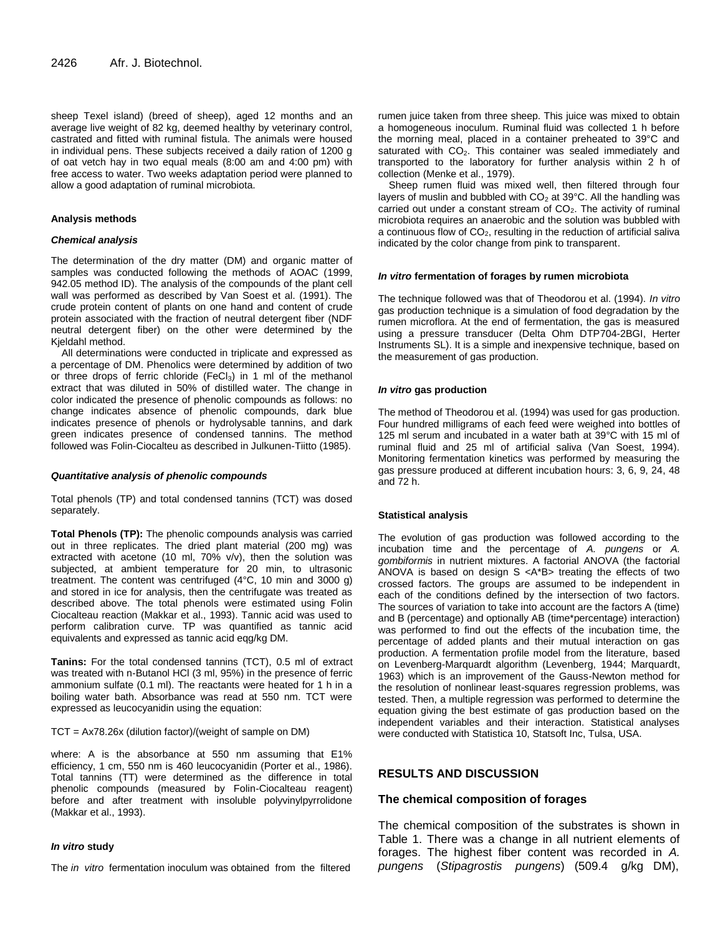sheep Texel island) (breed of sheep), aged 12 months and an average live weight of 82 kg, deemed healthy by veterinary control, castrated and fitted with ruminal fistula. The animals were housed in individual pens. These subjects received a daily ration of 1200 g of oat vetch hay in two equal meals (8:00 am and 4:00 pm) with free access to water. Two weeks adaptation period were planned to allow a good adaptation of ruminal microbiota.

#### **Analysis methods**

#### *Chemical analysis*

The determination of the dry matter (DM) and organic matter of samples was conducted following the methods of AOAC (1999, 942.05 method ID). The analysis of the compounds of the plant cell wall was performed as described by Van Soest et al. (1991). The crude protein content of plants on one hand and content of crude protein associated with the fraction of neutral detergent fiber (NDF neutral detergent fiber) on the other were determined by the Kjeldahl method.

All determinations were conducted in triplicate and expressed as a percentage of DM. Phenolics were determined by addition of two or three drops of ferric chloride (FeCl<sub>3</sub>) in 1 ml of the methanol extract that was diluted in 50% of distilled water. The change in color indicated the presence of phenolic compounds as follows: no change indicates absence of phenolic compounds, dark blue indicates presence of phenols or hydrolysable tannins, and dark green indicates presence of condensed tannins. The method followed was Folin-Ciocalteu as described in Julkunen-Tiitto (1985).

#### *Quantitative analysis of phenolic compounds*

Total phenols (TP) and total condensed tannins (TCT) was dosed separately.

**Total Phenols (TP):** The phenolic compounds analysis was carried out in three replicates. The dried plant material (200 mg) was extracted with acetone (10 ml, 70% v/v), then the solution was subjected, at ambient temperature for 20 min, to ultrasonic treatment. The content was centrifuged (4°C, 10 min and 3000 g) and stored in ice for analysis, then the centrifugate was treated as described above. The total phenols were estimated using Folin Ciocalteau reaction (Makkar et al., 1993). Tannic acid was used to perform calibration curve. TP was quantified as tannic acid equivalents and expressed as tannic acid eqg/kg DM.

**Tanins:** For the total condensed tannins (TCT), 0.5 ml of extract was treated with n-Butanol HCl (3 ml, 95%) in the presence of ferric ammonium sulfate (0.1 ml). The reactants were heated for 1 h in a boiling water bath. Absorbance was read at 550 nm. TCT were expressed as leucocyanidin using the equation:

TCT = Ax78.26x (dilution factor)/(weight of sample on DM)

where: A is the absorbance at 550 nm assuming that E1% efficiency, 1 cm, 550 nm is 460 leucocyanidin (Porter et al., 1986). Total tannins (TT) were determined as the difference in total phenolic compounds (measured by Folin-Ciocalteau reagent) before and after treatment with insoluble polyvinylpyrrolidone (Makkar et al., 1993).

#### *In vitro* **study**

The *in vitro* fermentation inoculum was obtained from the filtered

rumen juice taken from three sheep. This juice was mixed to obtain a homogeneous inoculum. Ruminal fluid was collected 1 h before the morning meal, placed in a container preheated to 39°C and saturated with  $CO<sub>2</sub>$ . This container was sealed immediately and transported to the laboratory for further analysis within 2 h of collection (Menke et al., 1979).

Sheep rumen fluid was mixed well, then filtered through four layers of muslin and bubbled with  $CO<sub>2</sub>$  at 39°C. All the handling was carried out under a constant stream of  $CO<sub>2</sub>$ . The activity of ruminal microbiota requires an anaerobic and the solution was bubbled with a continuous flow of  $CO<sub>2</sub>$ , resulting in the reduction of artificial saliva indicated by the color change from pink to transparent.

#### *In vitro* **fermentation of forages by rumen microbiota**

The technique followed was that of Theodorou et al. (1994). *In vitro* gas production technique is a simulation of food degradation by the rumen microflora. At the end of fermentation, the gas is measured using a pressure transducer (Delta Ohm DTP704-2BGI, Herter Instruments SL). It is a simple and inexpensive technique, based on the measurement of gas production.

#### *In vitro* **gas production**

The method of Theodorou et al. (1994) was used for gas production. Four hundred milligrams of each feed were weighed into bottles of 125 ml serum and incubated in a water bath at 39°C with 15 ml of ruminal fluid and 25 ml of artificial saliva (Van Soest, 1994). Monitoring fermentation kinetics was performed by measuring the gas pressure produced at different incubation hours: 3, 6, 9, 24, 48 and 72 h.

#### **Statistical analysis**

The evolution of gas production was followed according to the incubation time and the percentage of *A. pungens* or *A. gombiformis* in nutrient mixtures. A factorial ANOVA (the factorial ANOVA is based on design S <A\*B> treating the effects of two crossed factors. The groups are assumed to be independent in each of the conditions defined by the intersection of two factors. The sources of variation to take into account are the factors A (time) and B (percentage) and optionally AB (time\*percentage) interaction) was performed to find out the effects of the incubation time, the percentage of added plants and their mutual interaction on gas production. A fermentation profile model from the literature, based on Levenberg-Marquardt algorithm (Levenberg, 1944; Marquardt, 1963) which is an improvement of the Gauss-Newton method for the resolution of nonlinear least-squares regression problems, was tested. Then, a multiple regression was performed to determine the equation giving the best estimate of gas production based on the independent variables and their interaction. Statistical analyses were conducted with Statistica 10, Statsoft Inc, Tulsa, USA.

#### **RESULTS AND DISCUSSION**

#### **The chemical composition of forages**

The chemical composition of the substrates is shown in Table 1. There was a change in all nutrient elements of forages. The highest fiber content was recorded in *A. pungens* (*Stipagrostis pungens*) (509.4 g/kg DM),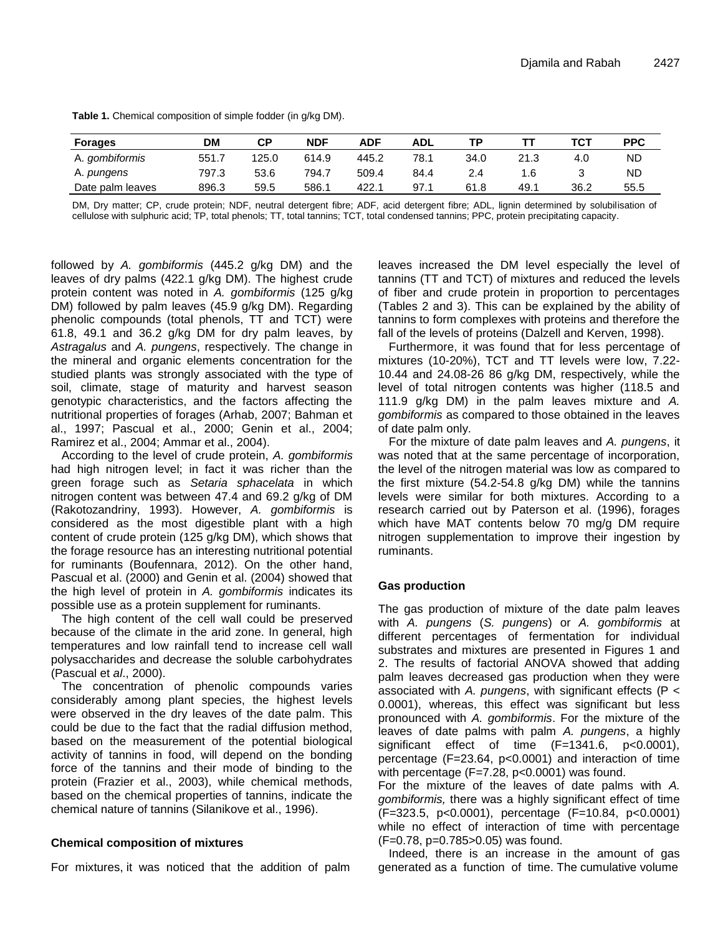| Forages          | DM    | СP    | <b>NDF</b> | <b>ADF</b> | ADL  | TP.  |      | тст  | <b>PPC</b> |
|------------------|-------|-------|------------|------------|------|------|------|------|------------|
| A. gombiformis   | 551.7 | 125.0 | 614.9      | 445.2      | 78.1 | 34.0 | 21.3 | 4.0  | ND         |
| A. pungens       | 797.3 | 53.6  | 794.7      | 509.4      | 84.4 | 2.4  | 1.6  |      | ND         |
| Date palm leaves | 896.3 | 59.5  | 586.1      | 422.1      | 97.1 | 61.8 | 49.1 | 36.2 | 55.5       |

**Table 1.** Chemical composition of simple fodder (in g/kg DM).

DM, Dry matter; CP, crude protein; NDF, neutral detergent fibre; ADF, acid detergent fibre; ADL, lignin determined by solubilisation of cellulose with sulphuric acid; TP, total phenols; TT, total tannins; TCT, total condensed tannins; PPC, protein precipitating capacity.

followed by *A. gombiformis* (445.2 g/kg DM) and the leaves of dry palms (422.1 g/kg DM). The highest crude protein content was noted in *A. gombiformis* (125 g/kg DM) followed by palm leaves (45.9 g/kg DM). Regarding phenolic compounds (total phenols, TT and TCT) were 61.8, 49.1 and 36.2 g/kg DM for dry palm leaves, by *Astragalus* and *A. pungens*, respectively. The change in the mineral and organic elements concentration for the studied plants was strongly associated with the type of soil, climate, stage of maturity and harvest season genotypic characteristics, and the factors affecting the nutritional properties of forages (Arhab, 2007; Bahman et al., 1997; Pascual et al., 2000; Genin et al., 2004; Ramirez et al., 2004; Ammar et al., 2004).

According to the level of crude protein, *A. gombiformis* had high nitrogen level; in fact it was richer than the green forage such as *Setaria sphacelata* in which nitrogen content was between 47.4 and 69.2 g/kg of DM (Rakotozandriny, 1993). However, *A. gombiformis* is considered as the most digestible plant with a high content of crude protein (125 g/kg DM), which shows that the forage resource has an interesting nutritional potential for ruminants (Boufennara, 2012). On the other hand, Pascual et al. (2000) and Genin et al. (2004) showed that the high level of protein in *A. gombiformis* indicates its possible use as a protein supplement for ruminants.

The high content of the cell wall could be preserved because of the climate in the arid zone. In general, high temperatures and low rainfall tend to increase cell wall polysaccharides and decrease the soluble carbohydrates (Pascual et *al*., 2000).

The concentration of phenolic compounds varies considerably among plant species, the highest levels were observed in the dry leaves of the date palm. This could be due to the fact that the radial diffusion method, based on the measurement of the potential biological activity of tannins in food, will depend on the bonding force of the tannins and their mode of binding to the protein (Frazier et al., 2003), while chemical methods, based on the chemical properties of tannins, indicate the chemical nature of tannins (Silanikove et al., 1996).

#### **Chemical composition of mixtures**

For mixtures, it was noticed that the addition of palm

leaves increased the DM level especially the level of tannins (TT and TCT) of mixtures and reduced the levels of fiber and crude protein in proportion to percentages (Tables 2 and 3). This can be explained by the ability of tannins to form complexes with proteins and therefore the fall of the levels of proteins (Dalzell and Kerven, 1998).

Furthermore, it was found that for less percentage of mixtures (10-20%), TCT and TT levels were low, 7.22- 10.44 and 24.08-26 86 g/kg DM, respectively, while the level of total nitrogen contents was higher (118.5 and 111.9 g/kg DM) in the palm leaves mixture and *A. gombiformis* as compared to those obtained in the leaves of date palm only.

For the mixture of date palm leaves and *A. pungens*, it was noted that at the same percentage of incorporation, the level of the nitrogen material was low as compared to the first mixture (54.2-54.8 g/kg DM) while the tannins levels were similar for both mixtures. According to a research carried out by Paterson et al. (1996), forages which have MAT contents below 70 mg/g DM require nitrogen supplementation to improve their ingestion by ruminants.

#### **Gas production**

The gas production of mixture of the date palm leaves with *A. pungens* (*S. pungens*) or *A. gombiformis* at different percentages of fermentation for individual substrates and mixtures are presented in Figures 1 and 2. The results of factorial ANOVA showed that adding palm leaves decreased gas production when they were associated with *A. pungens*, with significant effects (P < 0.0001), whereas, this effect was significant but less pronounced with *A. gombiformis*. For the mixture of the leaves of date palms with palm *A. pungens*, a highly significant effect of time (F=1341.6, p<0.0001), percentage (F=23.64, p<0.0001) and interaction of time with percentage (F=7.28, p<0.0001) was found.

For the mixture of the leaves of date palms with *A. gombiformis,* there was a highly significant effect of time (F=323.5, p<0.0001), percentage (F=10.84, p<0.0001) while no effect of interaction of time with percentage (F=0.78, p=0.785>0.05) was found.

Indeed, there is an increase in the amount of gas generated as a function of time. The cumulative volume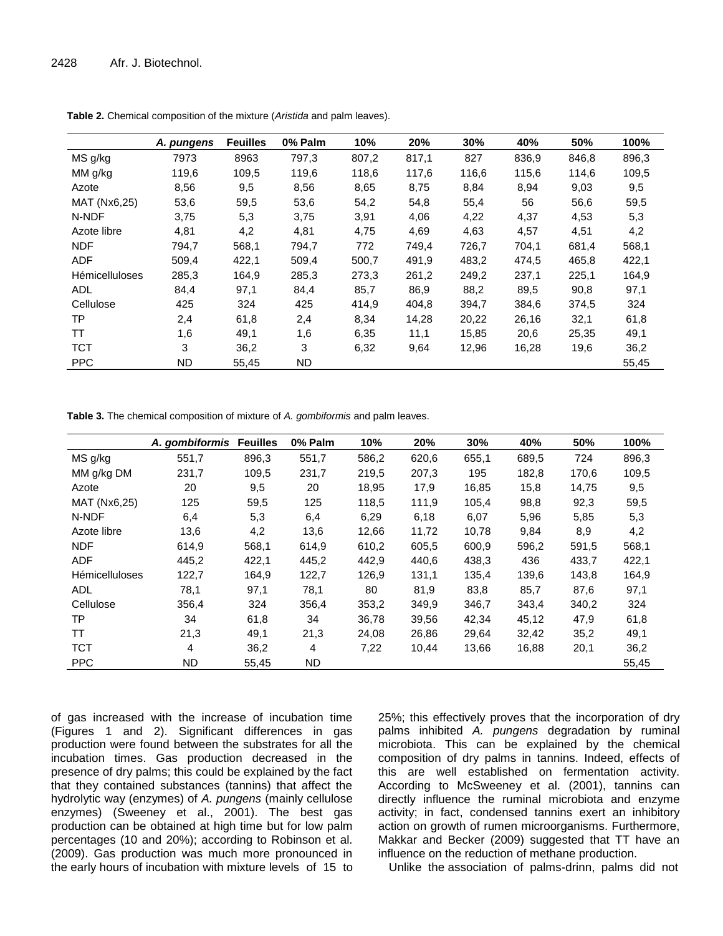|                       | A. pungens | <b>Feuilles</b> | 0% Palm | 10%   | 20%   | 30%   | 40%   | 50%   | 100%  |
|-----------------------|------------|-----------------|---------|-------|-------|-------|-------|-------|-------|
| MS g/kg               | 7973       | 8963            | 797,3   | 807,2 | 817,1 | 827   | 836,9 | 846,8 | 896,3 |
| MM g/kg               | 119,6      | 109,5           | 119,6   | 118,6 | 117,6 | 116,6 | 115,6 | 114,6 | 109,5 |
| Azote                 | 8,56       | 9,5             | 8,56    | 8,65  | 8,75  | 8,84  | 8,94  | 9,03  | 9,5   |
| MAT (Nx6,25)          | 53,6       | 59,5            | 53,6    | 54,2  | 54,8  | 55,4  | 56    | 56,6  | 59,5  |
| N-NDF                 | 3,75       | 5,3             | 3,75    | 3,91  | 4,06  | 4,22  | 4,37  | 4,53  | 5,3   |
| Azote libre           | 4,81       | 4,2             | 4,81    | 4,75  | 4,69  | 4,63  | 4,57  | 4,51  | 4,2   |
| <b>NDF</b>            | 794,7      | 568,1           | 794,7   | 772   | 749,4 | 726,7 | 704,1 | 681,4 | 568,1 |
| <b>ADF</b>            | 509,4      | 422,1           | 509,4   | 500,7 | 491,9 | 483,2 | 474,5 | 465,8 | 422,1 |
| <b>Hémicelluloses</b> | 285,3      | 164,9           | 285,3   | 273,3 | 261,2 | 249,2 | 237,1 | 225,1 | 164,9 |
| ADL                   | 84,4       | 97,1            | 84,4    | 85,7  | 86,9  | 88,2  | 89,5  | 90,8  | 97,1  |
| Cellulose             | 425        | 324             | 425     | 414,9 | 404,8 | 394,7 | 384,6 | 374,5 | 324   |
| TP                    | 2,4        | 61,8            | 2,4     | 8,34  | 14,28 | 20,22 | 26,16 | 32,1  | 61,8  |
| TT                    | 1,6        | 49,1            | 1,6     | 6,35  | 11,1  | 15,85 | 20,6  | 25,35 | 49,1  |
| <b>TCT</b>            | 3          | 36,2            | 3       | 6,32  | 9,64  | 12,96 | 16,28 | 19,6  | 36,2  |
| <b>PPC</b>            | <b>ND</b>  | 55,45           | ND.     |       |       |       |       |       | 55,45 |

**Table 2.** Chemical composition of the mixture (*Aristida* and palm leaves).

**Table 3.** The chemical composition of mixture of *A. gombiformis* and palm leaves.

|                       | A. gombiformis | <b>Feuilles</b> | 0% Palm   | 10%   | 20%   | 30%   | 40%   | 50%   | 100%  |
|-----------------------|----------------|-----------------|-----------|-------|-------|-------|-------|-------|-------|
| MS g/kg               | 551,7          | 896,3           | 551,7     | 586,2 | 620,6 | 655,1 | 689,5 | 724   | 896,3 |
| MM g/kg DM            | 231,7          | 109,5           | 231,7     | 219,5 | 207,3 | 195   | 182,8 | 170,6 | 109,5 |
| Azote                 | 20             | 9,5             | 20        | 18,95 | 17,9  | 16,85 | 15,8  | 14,75 | 9,5   |
| MAT (Nx6,25)          | 125            | 59,5            | 125       | 118,5 | 111,9 | 105,4 | 98,8  | 92,3  | 59,5  |
| N-NDF                 | 6,4            | 5,3             | 6,4       | 6,29  | 6,18  | 6,07  | 5,96  | 5,85  | 5,3   |
| Azote libre           | 13,6           | 4,2             | 13,6      | 12,66 | 11,72 | 10,78 | 9,84  | 8,9   | 4,2   |
| <b>NDF</b>            | 614,9          | 568,1           | 614,9     | 610,2 | 605,5 | 600,9 | 596,2 | 591,5 | 568,1 |
| <b>ADF</b>            | 445,2          | 422,1           | 445,2     | 442,9 | 440,6 | 438,3 | 436   | 433,7 | 422,1 |
| <b>Hémicelluloses</b> | 122,7          | 164,9           | 122,7     | 126,9 | 131,1 | 135,4 | 139,6 | 143,8 | 164,9 |
| <b>ADL</b>            | 78,1           | 97,1            | 78,1      | 80    | 81,9  | 83,8  | 85,7  | 87,6  | 97,1  |
| Cellulose             | 356,4          | 324             | 356,4     | 353,2 | 349,9 | 346,7 | 343,4 | 340,2 | 324   |
| TP.                   | 34             | 61,8            | 34        | 36,78 | 39,56 | 42,34 | 45,12 | 47,9  | 61,8  |
| TT                    | 21,3           | 49,1            | 21,3      | 24,08 | 26,86 | 29,64 | 32,42 | 35,2  | 49,1  |
| <b>TCT</b>            | 4              | 36,2            | 4         | 7,22  | 10,44 | 13,66 | 16,88 | 20,1  | 36,2  |
| <b>PPC</b>            | ND.            | 55,45           | <b>ND</b> |       |       |       |       |       | 55,45 |

of gas increased with the increase of incubation time (Figures 1 and 2). Significant differences in gas production were found between the substrates for all the incubation times. Gas production decreased in the presence of dry palms; this could be explained by the fact that they contained substances (tannins) that affect the hydrolytic way (enzymes) of *A. pungens* (mainly cellulose enzymes) (Sweeney et al., 2001). The best gas production can be obtained at high time but for low palm percentages (10 and 20%); according to Robinson et al. (2009). Gas production was much more pronounced in the early hours of incubation with mixture levels of 15 to

25%; this effectively proves that the incorporation of dry palms inhibited *A. pungens* degradation by ruminal microbiota. This can be explained by the chemical composition of dry palms in tannins. Indeed, effects of this are well established on fermentation activity. According to McSweeney et al. (2001), tannins can directly influence the ruminal microbiota and enzyme activity; in fact, condensed tannins exert an inhibitory action on growth of rumen microorganisms. Furthermore, Makkar and Becker (2009) suggested that TT have an influence on the reduction of methane production.

Unlike the association of palms-drinn, palms did not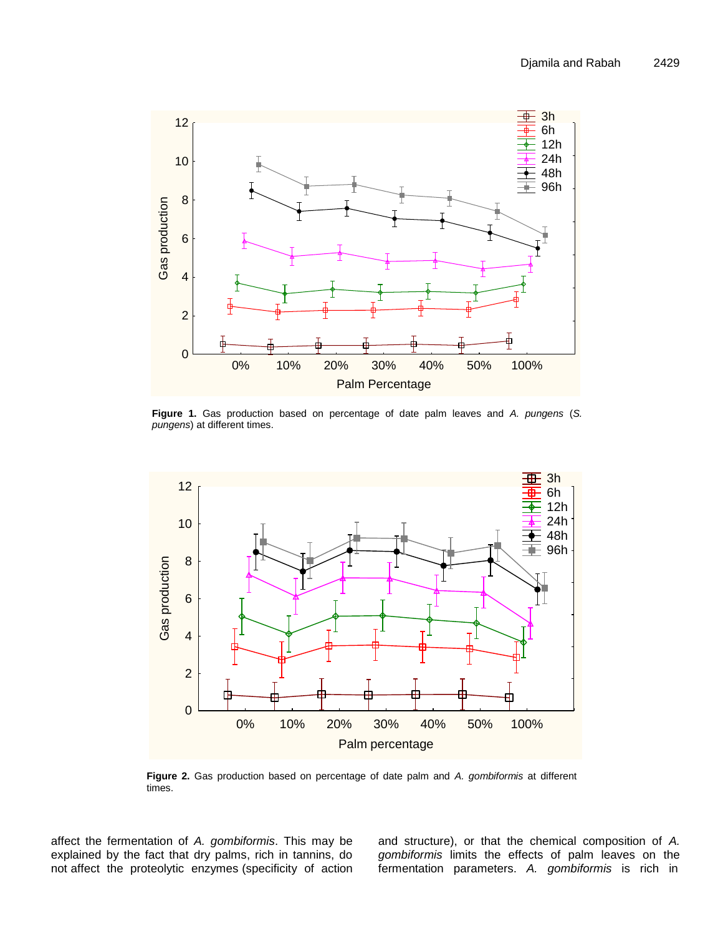

**Figure 1.** Gas production based on percentage of date palm leaves and *A. pungens* (*S. pungens*) at different times.



**Figure 2.** Gas production based on percentage of date palm and *A. gombiformis* at different times.

affect the fermentation of *A. gombiformis*. This may be explained by the fact that dry palms, rich in tannins, do not affect the proteolytic enzymes (specificity of action and structure), or that the chemical composition of *A. gombiformis* limits the effects of palm leaves on the fermentation parameters. *A. gombiformis* is rich in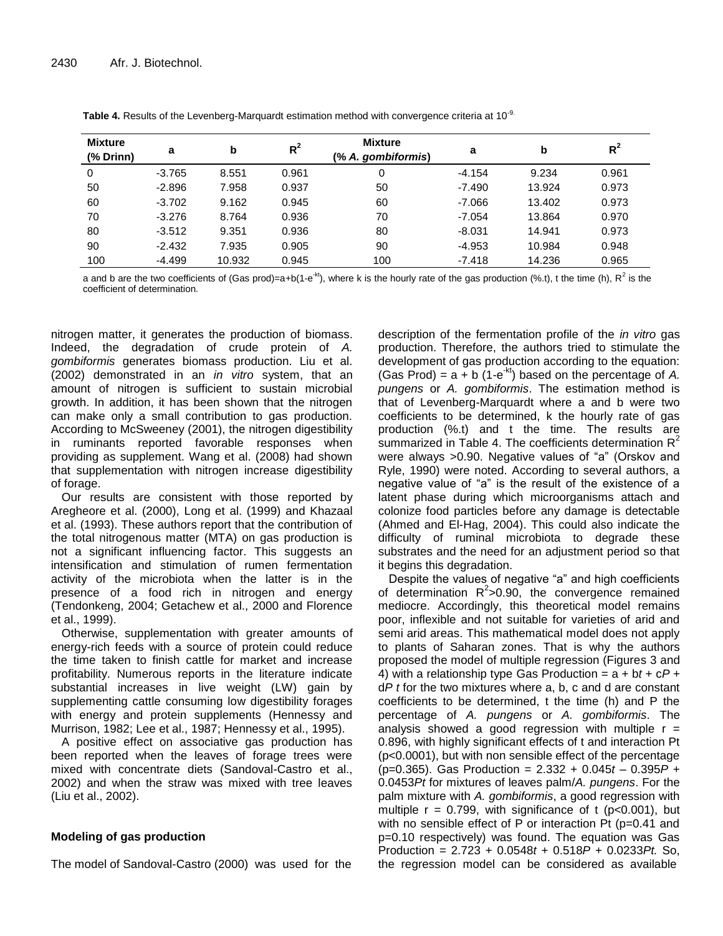| <b>Mixture</b><br>(% Drinn) | a        | b      | R <sup>2</sup> | <b>Mixture</b><br>(% A. gombiformis) | a        | b      | $R^2$ |
|-----------------------------|----------|--------|----------------|--------------------------------------|----------|--------|-------|
| 0                           | $-3.765$ | 8.551  | 0.961          | 0                                    | $-4.154$ | 9.234  | 0.961 |
| 50                          | $-2.896$ | 7.958  | 0.937          | 50                                   | $-7.490$ | 13.924 | 0.973 |
| 60                          | $-3.702$ | 9.162  | 0.945          | 60                                   | $-7.066$ | 13.402 | 0.973 |
| 70                          | $-3.276$ | 8.764  | 0.936          | 70                                   | $-7.054$ | 13.864 | 0.970 |
| 80                          | $-3.512$ | 9.351  | 0.936          | 80                                   | $-8.031$ | 14.941 | 0.973 |
| 90                          | $-2.432$ | 7.935  | 0.905          | 90                                   | $-4.953$ | 10.984 | 0.948 |
| 100                         | $-4.499$ | 10.932 | 0.945          | 100                                  | $-7.418$ | 14.236 | 0.965 |

Table 4. Results of the Levenberg-Marquardt estimation method with convergence criteria at 10<sup>-9.</sup>

a and b are the two coefficients of (Gas prod)=a+b(1-e<sup>-kt</sup>), where k is the hourly rate of the gas production (%.t), t the time (h), R<sup>2</sup> is the coefficient of determination.

nitrogen matter, it generates the production of biomass. Indeed, the degradation of crude protein of *A. gombiformis* generates biomass production. Liu et al. (2002) demonstrated in an *in vitro* system, that an amount of nitrogen is sufficient to sustain microbial growth. In addition, it has been shown that the nitrogen can make only a small contribution to gas production. According to McSweeney (2001), the nitrogen digestibility in ruminants reported favorable responses when providing as supplement. Wang et al. (2008) had shown that supplementation with nitrogen increase digestibility of forage.

Our results are consistent with those reported by Aregheore et al. (2000), Long et al. (1999) and Khazaal et al. (1993). These authors report that the contribution of the total nitrogenous matter (MTA) on gas production is not a significant influencing factor. This suggests an intensification and stimulation of rumen fermentation activity of the microbiota when the latter is in the presence of a food rich in nitrogen and energy (Tendonkeng, 2004; Getachew et al., 2000 and Florence et al., 1999).

Otherwise, supplementation with greater amounts of energy-rich feeds with a source of protein could reduce the time taken to finish cattle for market and increase profitability. Numerous reports in the literature indicate substantial increases in live weight (LW) gain by supplementing cattle consuming low digestibility forages with energy and protein supplements (Hennessy and Murrison, 1982; Lee et al., 1987; Hennessy et al., 1995).

A positive effect on associative gas production has been reported when the leaves of forage trees were mixed with concentrate diets (Sandoval-Castro et al., 2002) and when the straw was mixed with tree leaves (Liu et al., 2002).

#### **Modeling of gas production**

The model of Sandoval-Castro (2000) was used for the

description of the fermentation profile of the *in vitro* gas production. Therefore, the authors tried to stimulate the development of gas production according to the equation: (Gas Prod) =  $a + b$  (1-e<sup>-kt</sup>) based on the percentage of A. *pungens* or *A. gombiformis*. The estimation method is that of Levenberg-Marquardt where a and b were two coefficients to be determined, k the hourly rate of gas production (%.t) and t the time. The results are summarized in Table 4. The coefficients determination  $R^2$ were always >0.90. Negative values of "a" (Orskov and Ryle, 1990) were noted. According to several authors, a negative value of "a" is the result of the existence of a latent phase during which microorganisms attach and colonize food particles before any damage is detectable (Ahmed and El-Hag, 2004). This could also indicate the difficulty of ruminal microbiota to degrade these substrates and the need for an adjustment period so that it begins this degradation.

Despite the values of negative "a" and high coefficients of determination  $R^2 > 0.90$ , the convergence remained mediocre. Accordingly, this theoretical model remains poor, inflexible and not suitable for varieties of arid and semi arid areas. This mathematical model does not apply to plants of Saharan zones. That is why the authors proposed the model of multiple regression (Figures 3 and 4) with a relationship type Gas Production = a + b*t* + c*P* + d*P t* for the two mixtures where a, b, c and d are constant coefficients to be determined, t the time (h) and P the percentage of *A. pungens* or *A. gombiformis*. The analysis showed a good regression with multiple  $r =$ 0.896, with highly significant effects of t and interaction Pt (p<0.0001), but with non sensible effect of the percentage (p=0.365). Gas Production = 2.332 + 0.045*t* – 0.395*P* + 0.0453*Pt* for mixtures of leaves palm/*A. pungens*. For the palm mixture with *A. gombiformis*, a good regression with multiple  $r = 0.799$ , with significance of t (p<0.001), but with no sensible effect of P or interaction Pt (p=0.41 and p=0.10 respectively) was found. The equation was Gas Production = 2.723 + 0.0548*t* + 0.518*P* + 0.0233*Pt.* So, the regression model can be considered as available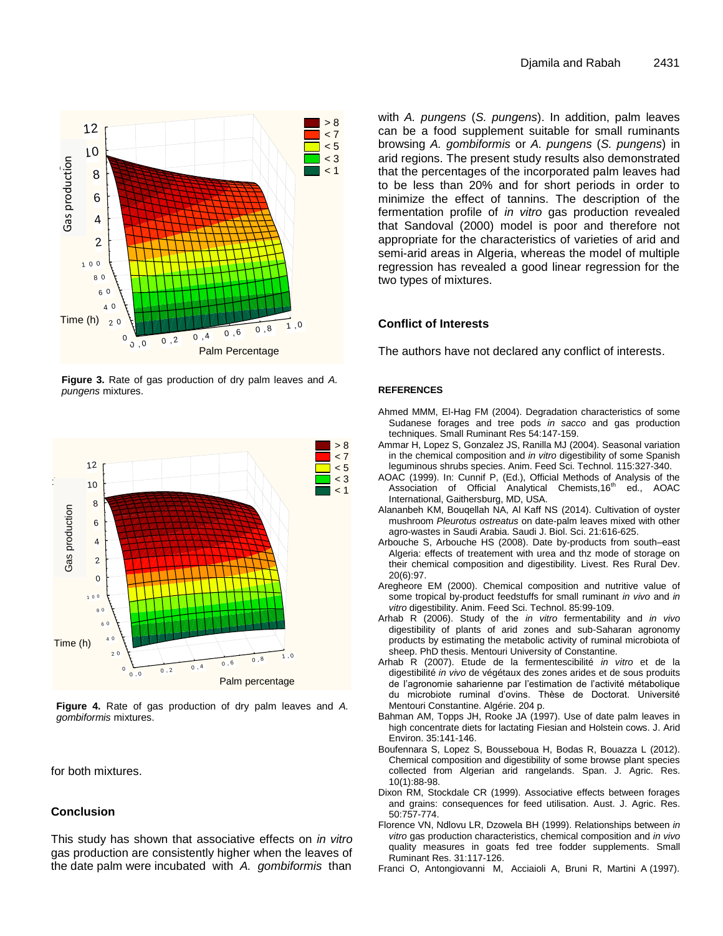

**Figure 3.** Rate of gas production of dry palm leaves and *A. pungens* mixtures.



**Figure 4.** Rate of gas production of dry palm leaves and *A. gombiformis* mixtures.

for both mixtures.

#### **Conclusion**

This study has shown that associative effects on *in vitro* gas production are consistently higher when the leaves of the date palm were incubated with *A. gombiformis* than

with *A. pungens* (*S. pungens*). In addition, palm leaves can be a food supplement suitable for small ruminants browsing *A. gombiformis* or *A. pungens* (*S. pungens*) in arid regions. The present study results also demonstrated that the percentages of the incorporated palm leaves had to be less than 20% and for short periods in order to minimize the effect of tannins. The description of the fermentation profile of *in vitro* gas production revealed that Sandoval (2000) model is poor and therefore not appropriate for the characteristics of varieties of arid and semi-arid areas in Algeria, whereas the model of multiple regression has revealed a good linear regression for the two types of mixtures.

#### **Conflict of Interests**

The authors have not declared any conflict of interests.

#### **REFERENCES**

- Ahmed MMM, El-Hag FM (2004). Degradation characteristics of some Sudanese forages and tree pods *in sacco* and gas production techniques. Small Ruminant Res 54:147-159.
- Ammar H, Lopez S, Gonzalez JS, Ranilla MJ (2004). Seasonal variation in the chemical composition and *in vitro* digestibility of some Spanish leguminous shrubs species. Anim. Feed Sci. Technol. 115:327-340.
- AOAC (1999). In: Cunnif P, (Ed.), Official Methods of Analysis of the Association of Official Analytical Chemists, 16<sup>th</sup> ed., AOAC International, Gaithersburg, MD, USA.
- Alananbeh KM, Bouqellah NA, Al Kaff NS (2014). Cultivation of oyster mushroom *Pleurotus ostreatus* on date-palm leaves mixed with other agro-wastes in Saudi Arabia. Saudi J. Biol. Sci. 21:616-625.
- Arbouche S, Arbouche HS (2008). Date by-products from south–east Algeria: effects of treatement with urea and thz mode of storage on their chemical composition and digestibility. Livest. Res Rural Dev. 20(6):97.
- Aregheore EM (2000). Chemical composition and nutritive value of some tropical by-product feedstuffs for small ruminant *in vivo* and *in vitro* digestibility. Anim. Feed Sci. Technol. 85:99-109.
- Arhab R (2006). Study of the *in vitro* fermentability and *in vivo*  digestibility of plants of arid zones and sub-Saharan agronomy products by estimating the metabolic activity of ruminal microbiota of sheep. PhD thesis. Mentouri University of Constantine.
- Arhab R (2007). Etude de la fermentescibilité *in vitro* et de la digestibilité *in vivo* de végétaux des zones arides et de sous produits de l'agronomie saharienne par l'estimation de l'activité métabolique du microbiote ruminal d'ovins. Thèse de Doctorat. Université Mentouri Constantine. Algérie. 204 p.
- Bahman AM, Topps JH, Rooke JA (1997). Use of date palm leaves in high concentrate diets for lactating Fiesian and Holstein cows. J. Arid Environ. 35:141-146.
- Boufennara S, Lopez S, Bousseboua H, Bodas R, Bouazza L (2012). Chemical composition and digestibility of some browse plant species collected from Algerian arid rangelands. Span. J. Agric. Res. 10(1):88-98.
- Dixon RM, Stockdale CR (1999). Associative effects between forages and grains: consequences for feed utilisation. Aust. J. Agric. Res. 50:757-774.
- Florence VN, Ndlovu LR, Dzowela BH (1999). Relationships between *in vitro* gas production characteristics, chemical composition and *in vivo*  quality measures in goats fed tree fodder supplements. Small Ruminant Res. 31:117-126.
- Franci O, Antongiovanni M, Acciaioli A, Bruni R, Martini A (1997).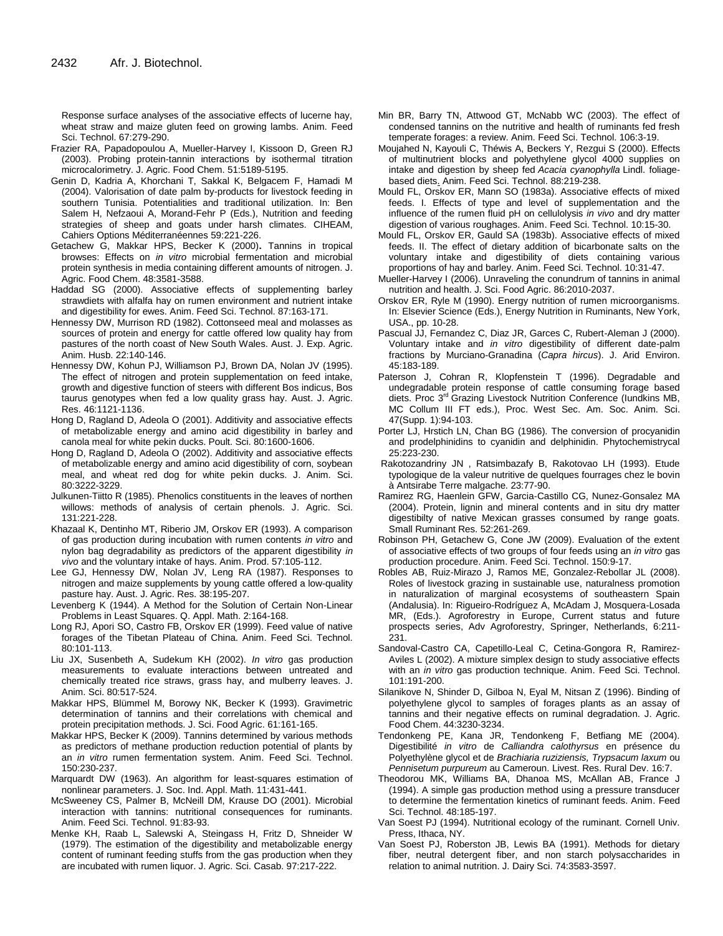Response surface analyses of the associative effects of lucerne hay, wheat straw and maize gluten feed on growing lambs. Anim. Feed Sci. Technol. 67:279-290.

- Frazier RA, Papadopoulou A, Mueller-Harvey I, Kissoon D, Green RJ (2003). Probing protein-tannin interactions by isothermal titration microcalorimetry. J. Agric. Food Chem. 51:5189-5195.
- Genin D, Kadria A, Khorchani T, Sakkal K, Belgacem F, Hamadi M (2004). Valorisation of date palm by-products for livestock feeding in southern Tunisia. Potentialities and traditional utilization. In: Ben Salem H, Nefzaoui A, Morand-Fehr P (Eds.), Nutrition and feeding strategies of sheep and goats under harsh climates. CIHEAM, Cahiers Options Méditerranéennes 59:221-226.
- Getachew G, Makkar HPS, Becker K (2000)**.** Tannins in tropical browses: Effects on *in vitro* microbial fermentation and microbial protein synthesis in media containing different amounts of nitrogen. J. Agric. Food Chem. 48:3581-3588.
- Haddad SG (2000). Associative effects of supplementing barley strawdiets with alfalfa hay on rumen environment and nutrient intake and digestibility for ewes. Anim. Feed Sci. Technol. 87:163-171.
- Hennessy DW, Murrison RD (1982). Cottonseed meal and molasses as sources of protein and energy for cattle offered low quality hay from pastures of the north coast of New South Wales. Aust. J. Exp. Agric. Anim. Husb. 22:140-146.
- Hennessy DW, Kohun PJ, Williamson PJ, Brown DA, Nolan JV (1995). The effect of nitrogen and protein supplementation on feed intake, growth and digestive function of steers with different Bos indicus, Bos taurus genotypes when fed a low quality grass hay. Aust. J. Agric. Res. 46:1121-1136.
- Hong D, Ragland D, Adeola O (2001). Additivity and associative effects of metabolizable energy and amino acid digestibility in barley and canola meal for white pekin ducks. Poult. Sci. 80:1600-1606.
- Hong D, Ragland D, Adeola O (2002). Additivity and associative effects of metabolizable energy and amino acid digestibility of corn, soybean meal, and wheat red dog for white pekin ducks. J. Anim. Sci. 80:3222-3229.
- Julkunen-Tiitto R (1985). Phenolics constituents in the leaves of northen willows: methods of analysis of certain phenols. J. Agric. Sci. 131:221-228.
- Khazaal K, Dentinho MT, Riberio JM, Orskov ER (1993). A comparison of gas production during incubation with rumen contents *in vitro* and nylon bag degradability as predictors of the apparent digestibility *in vivo* and the voluntary intake of hays. Anim. Prod. 57:105-112.
- Lee GJ, Hennessy DW, Nolan JV, Leng RA (1987). Responses to nitrogen and maize supplements by young cattle offered a low-quality pasture hay. Aust. J. Agric. Res. 38:195-207.
- Levenberg K (1944). A Method for the Solution of Certain Non-Linear Problems in Least Squares. Q. Appl. Math. 2:164-168.
- Long RJ, Apori SO, Castro FB, Orskov ER (1999). Feed value of native forages of the Tibetan Plateau of China. Anim. Feed Sci. Technol. 80:101-113.
- Liu JX, Susenbeth A, Sudekum KH (2002). *In vitro* gas production measurements to evaluate interactions between untreated and chemically treated rice straws, grass hay, and mulberry leaves. J. Anim. Sci. 80:517-524.
- Makkar HPS, Blümmel M, Borowy NK, Becker K (1993). Gravimetric determination of tannins and their correlations with chemical and protein precipitation methods. J. Sci. Food Agric. 61:161-165.
- Makkar HPS, Becker K (2009). Tannins determined by various methods as predictors of methane production reduction potential of plants by an *in vitro* rumen fermentation system. Anim. Feed Sci. Technol. 150:230-237.
- Marquardt DW (1963). An algorithm for least-squares estimation of nonlinear parameters. J. Soc. Ind. Appl. Math. 11:431-441.
- McSweeney CS, Palmer B, McNeill DM, Krause DO (2001). Microbial interaction with tannins: nutritional consequences for ruminants. Anim. Feed Sci. Technol. 91:83-93.
- Menke KH, Raab L, Salewski A, Steingass H, Fritz D, Shneider W (1979). The estimation of the digestibility and metabolizable energy content of ruminant feeding stuffs from the gas production when they are incubated with rumen liquor. J. Agric. Sci. Casab. 97:217-222.
- Min BR, Barry TN, Attwood GT, McNabb WC (2003). The effect of condensed tannins on the nutritive and health of ruminants fed fresh temperate forages: a review. Anim. Feed Sci. Technol. 106:3-19.
- Moujahed N, Kayouli C, Théwis A, Beckers Y, Rezgui S (2000). Effects of multinutrient blocks and polyethylene glycol 4000 supplies on intake and digestion by sheep fed *Acacia cyanophylla* Lindl. foliagebased diets. Anim. Feed Sci. Technol. 88:219-238.
- Mould FL, Orskov ER, Mann SO (1983a). Associative effects of mixed feeds. I. Effects of type and level of supplementation and the influence of the rumen fluid pH on cellulolysis *in vivo* and dry matter digestion of various roughages. Anim. Feed Sci. Technol. 10:15-30.
- Mould FL, Orskov ER, Gauld SA (1983b). Associative effects of mixed feeds. II. The effect of dietary addition of bicarbonate salts on the voluntary intake and digestibility of diets containing various proportions of hay and barley. Anim. Feed Sci. Technol. 10:31-47.
- Mueller-Harvey I (2006). Unraveling the conundrum of tannins in animal nutrition and health. J. Sci. Food Agric. 86:2010-2037.
- Orskov ER, Ryle M (1990). Energy nutrition of rumen microorganisms. In: Elsevier Science (Eds.), Energy Nutrition in Ruminants, New York, USA., pp. 10-28.
- Pascual JJ, Fernandez C, Diaz JR, Garces C, Rubert-Aleman J (2000). Voluntary intake and *in vitro* digestibility of different date-palm fractions by Murciano-Granadina (*Capra hircus*). J. Arid Environ. 45:183-189.
- Paterson J, Cohran R, Klopfenstein T (1996). Degradable and undegradable protein response of cattle consuming forage based<br>diets. Proc 3<sup>rd</sup> Grazing Livestock Nutrition Conference (Iundkins MB, MC Collum III FT eds.), Proc. West Sec. Am. Soc. Anim. Sci. 47(Supp. 1):94-103.
- Porter LJ, Hrstich LN, Chan BG (1986). The conversion of procyanidin and prodelphinidins to cyanidin and delphinidin. Phytochemistrycal 25:223-230.
- Rakotozandriny JN , Ratsimbazafy B, Rakotovao LH (1993). Etude typologique de la valeur nutritive de quelques fourrages chez le bovin à Antsirabe Terre malgache. 23:77-90.
- Ramirez RG, Haenlein GFW, Garcia-Castillo CG, Nunez-Gonsalez MA (2004). Protein, lignin and mineral contents and in situ dry matter digestibilty of native Mexican grasses consumed by range goats. Small Ruminant Res. 52:261-269.
- Robinson PH, Getachew G, Cone JW (2009). Evaluation of the extent of associative effects of two groups of four feeds using an *in vitro* gas production procedure. Anim. Feed Sci. Technol. 150:9-17.
- Robles AB, Ruiz-Mirazo J, Ramos ME, Gonzalez-Rebollar JL (2008). Roles of livestock grazing in sustainable use, naturalness promotion in naturalization of marginal ecosystems of southeastern Spain (Andalusia). In: Rigueiro-Rodríguez A, McAdam J, Mosquera-Losada MR, (Eds.). Agroforestry in Europe, Current status and future prospects series, Adv Agroforestry, Springer, Netherlands, 6:211- 231.
- Sandoval-Castro CA, Capetillo-Leal C, Cetina-Gongora R, Ramirez-Aviles L (2002). A mixture simplex design to study associative effects with an *in vitro* gas production technique. Anim. Feed Sci. Technol. 101:191-200.
- Silanikove N, Shinder D, Gilboa N, Eyal M, Nitsan Z (1996). Binding of polyethylene glycol to samples of forages plants as an assay of tannins and their negative effects on ruminal degradation. J. Agric. Food Chem. 44:3230-3234.
- Tendonkeng PE, Kana JR, Tendonkeng F, Betfiang ME (2004). Digestibilité *in vitro* de *Calliandra calothyrsus* en présence du Polyethylène glycol et de *Brachiaria ruziziensis, Trypsacum laxum* ou *Pennisetum purpureum* au Cameroun. Livest. Res. Rural Dev. 16:7.
- Theodorou MK, Williams BA, Dhanoa MS, McAllan AB, France J (1994). A simple gas production method using a pressure transducer to determine the fermentation kinetics of ruminant feeds. Anim. Feed Sci. Technol. 48:185-197.
- Van Soest PJ (1994). Nutritional ecology of the ruminant. Cornell Univ. Press, Ithaca, NY.
- Van Soest PJ, Roberston JB, Lewis BA (1991). Methods for dietary fiber, neutral detergent fiber, and non starch polysaccharides in relation to animal nutrition. J. Dairy Sci. 74:3583-3597.